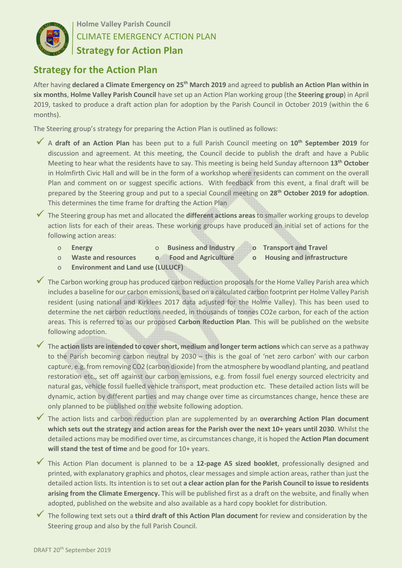

**Holme Valley Parish Council** CLIMATE EMERGENCY ACTION PLAN **Strategy for Action Plan** 

## **Strategy for the Action Plan**

After having **declared a Climate Emergency on 25th March 2019** and agreed to **publish an Action Plan within in six months**, **Holme Valley Parish Council** have set up an Action Plan working group (the **Steering group**) in April 2019, tasked to produce a draft action plan for adoption by the Parish Council in October 2019 (within the 6 months).

The Steering group's strategy for preparing the Action Plan is outlined as follows:

- <sup>A</sup>**draft of an Action Plan** has been put to a full Parish Council meeting on **10th September 2019** for discussion and agreement. At this meeting, the Council decide to publish the draft and have a Public Meeting to hear what the residents have to say. This meeting is being held Sunday afternoon **13th October** in Holmfirth Civic Hall and will be in the form of a workshop where residents can comment on the overall Plan and comment on or suggest specific actions. With feedback from this event, a final draft will be prepared by the Steering group and put to a special Council meeting on **28th October 2019 for adoption**. This determines the time frame for drafting the Action Plan
- The Steering group has met and allocated the **different actions areas** to smaller working groups to develop action lists for each of their areas. These working groups have produced an initial set of actions for the following action areas:
	- o **Energy** o **Business and Industry o Transport and Travel**
		-
- 
- o **Waste and resources o Food and Agriculture o Housing and infrastructure**
- o **Environment and Land use (LULUCF)**
- The Carbon working group has produced carbon reduction proposals for the Home Valley Parish area which includes a baseline for our carbon emissions, based on a calculated carbon footprint per Holme Valley Parish resident (using national and Kirklees 2017 data adjusted for the Holme Valley). This has been used to determine the net carbon reductions needed, in thousands of tonnes CO2e carbon, for each of the action areas. This is referred to as our proposed **Carbon Reduction Plan**. This will be published on the website following adoption.
- The **action lists are intended to cover short, medium and longer term actions** which can serve as a pathway to the Parish becoming carbon neutral by 2030 – this is the goal of 'net zero carbon' with our carbon capture, e.g. from removing CO2 (carbon dioxide) from the atmosphere by woodland planting, and peatland restoration etc., set off against our carbon emissions, e.g. from fossil fuel energy sourced electricity and natural gas, vehicle fossil fuelled vehicle transport, meat production etc. These detailed action lists will be dynamic, action by different parties and may change over time as circumstances change, hence these are only planned to be published on the website following adoption.
- The action lists and carbon reduction plan are supplemented by an **overarching Action Plan document which sets out the strategy and action areas for the Parish over the next 10+ years until 2030**. Whilst the detailed actions may be modified over time, as circumstances change, it is hoped the **Action Plan document will stand the test of time** and be good for 10+ years.
- This Action Plan document is planned to be a **12-page A5 sized booklet**, professionally designed and printed, with explanatory graphics and photos, clear messages and simple action areas, rather than just the detailed action lists. Its intention is to set out **a clear action plan for the Parish Council to issue to residents arising from the Climate Emergency.** This will be published first as a draft on the website, and finally when adopted, published on the website and also available as a hard copy booklet for distribution.
- The following text sets out a **third draft of this Action Plan document** for review and consideration by the Steering group and also by the full Parish Council.